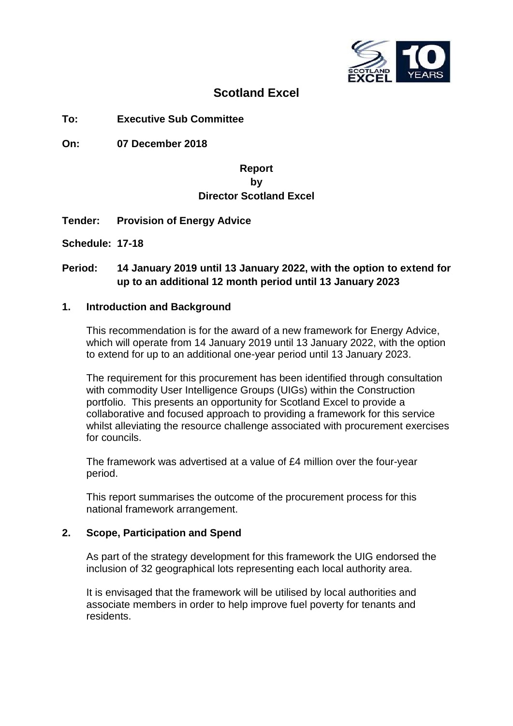

## **Scotland Excel**

**To: Executive Sub Committee**

**On: 07 December 2018**

## **Report by Director Scotland Excel**

- **Tender: Provision of Energy Advice**
- **Schedule: 17-18**

## **Period: 14 January 2019 until 13 January 2022, with the option to extend for up to an additional 12 month period until 13 January 2023**

#### **1. Introduction and Background**

This recommendation is for the award of a new framework for Energy Advice, which will operate from 14 January 2019 until 13 January 2022, with the option to extend for up to an additional one-year period until 13 January 2023.

The requirement for this procurement has been identified through consultation with commodity User Intelligence Groups (UIGs) within the Construction portfolio. This presents an opportunity for Scotland Excel to provide a collaborative and focused approach to providing a framework for this service whilst alleviating the resource challenge associated with procurement exercises for councils.

The framework was advertised at a value of £4 million over the four-year period.

This report summarises the outcome of the procurement process for this national framework arrangement.

## **2. Scope, Participation and Spend**

As part of the strategy development for this framework the UIG endorsed the inclusion of 32 geographical lots representing each local authority area.

It is envisaged that the framework will be utilised by local authorities and associate members in order to help improve fuel poverty for tenants and residents.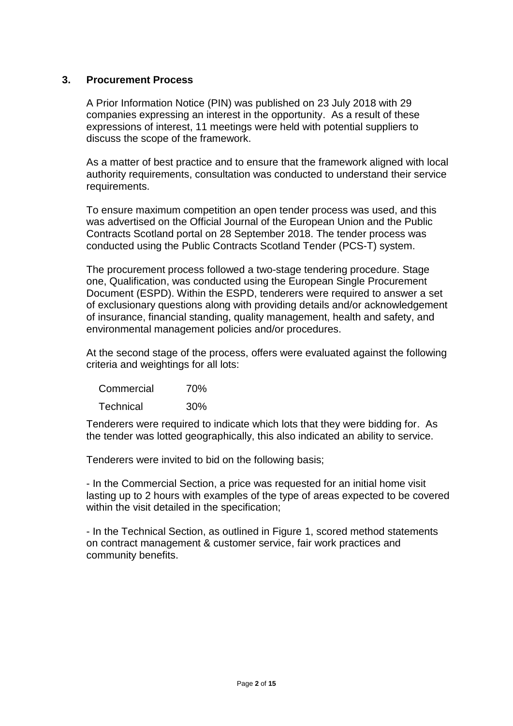## **3. Procurement Process**

A Prior Information Notice (PIN) was published on 23 July 2018 with 29 companies expressing an interest in the opportunity. As a result of these expressions of interest, 11 meetings were held with potential suppliers to discuss the scope of the framework.

As a matter of best practice and to ensure that the framework aligned with local authority requirements, consultation was conducted to understand their service requirements.

To ensure maximum competition an open tender process was used, and this was advertised on the Official Journal of the European Union and the Public Contracts Scotland portal on 28 September 2018. The tender process was conducted using the Public Contracts Scotland Tender (PCS-T) system.

The procurement process followed a two-stage tendering procedure. Stage one, Qualification, was conducted using the European Single Procurement Document (ESPD). Within the ESPD, tenderers were required to answer a set of exclusionary questions along with providing details and/or acknowledgement of insurance, financial standing, quality management, health and safety, and environmental management policies and/or procedures.

At the second stage of the process, offers were evaluated against the following criteria and weightings for all lots:

| Commercial       | 70% |
|------------------|-----|
| <b>Technical</b> | 30% |

Tenderers were required to indicate which lots that they were bidding for. As the tender was lotted geographically, this also indicated an ability to service.

Tenderers were invited to bid on the following basis;

- In the Commercial Section, a price was requested for an initial home visit lasting up to 2 hours with examples of the type of areas expected to be covered within the visit detailed in the specification;

- In the Technical Section, as outlined in Figure 1, scored method statements on contract management & customer service, fair work practices and community benefits.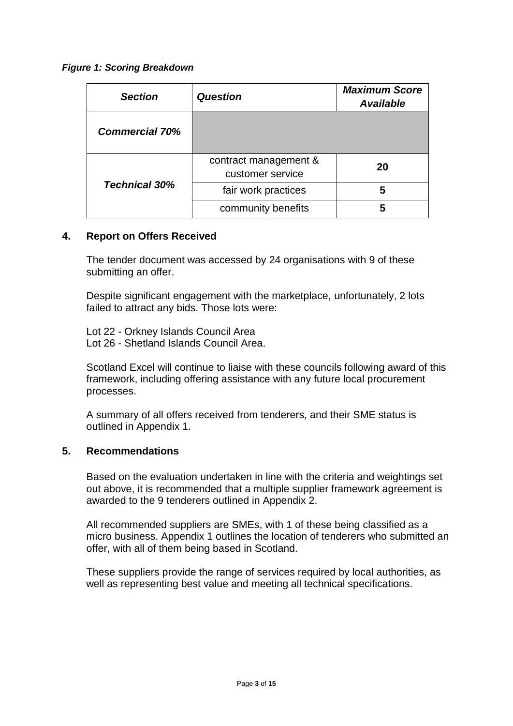#### *Figure 1: Scoring Breakdown*

| <b>Section</b>        | <b>Question</b>                           | <b>Maximum Score</b><br><b>Available</b> |
|-----------------------|-------------------------------------------|------------------------------------------|
| <b>Commercial 70%</b> |                                           |                                          |
|                       | contract management &<br>customer service | 20                                       |
| <b>Technical 30%</b>  | fair work practices                       | 5                                        |
|                       | community benefits                        | 5                                        |

## **4. Report on Offers Received**

The tender document was accessed by 24 organisations with 9 of these submitting an offer.

Despite significant engagement with the marketplace, unfortunately, 2 lots failed to attract any bids. Those lots were:

Lot 22 - Orkney Islands Council Area Lot 26 - Shetland Islands Council Area.

Scotland Excel will continue to liaise with these councils following award of this framework, including offering assistance with any future local procurement processes.

A summary of all offers received from tenderers, and their SME status is outlined in Appendix 1.

## **5. Recommendations**

Based on the evaluation undertaken in line with the criteria and weightings set out above, it is recommended that a multiple supplier framework agreement is awarded to the 9 tenderers outlined in Appendix 2.

All recommended suppliers are SMEs, with 1 of these being classified as a micro business. Appendix 1 outlines the location of tenderers who submitted an offer, with all of them being based in Scotland.

These suppliers provide the range of services required by local authorities, as well as representing best value and meeting all technical specifications.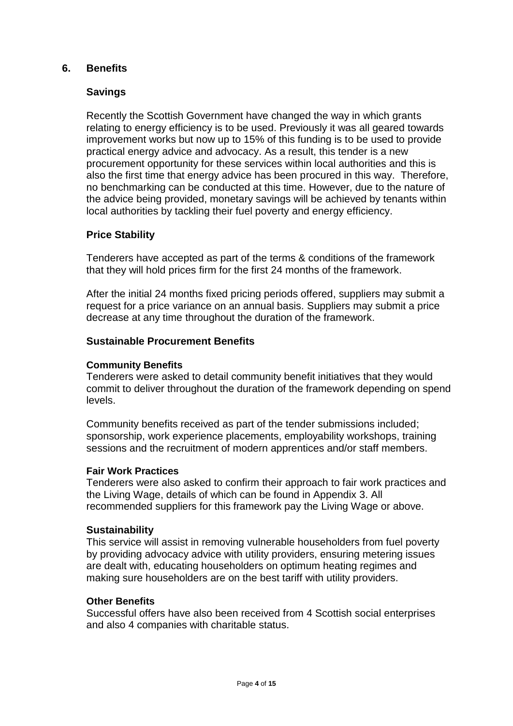## **6. Benefits**

## **Savings**

Recently the Scottish Government have changed the way in which grants relating to energy efficiency is to be used. Previously it was all geared towards improvement works but now up to 15% of this funding is to be used to provide practical energy advice and advocacy. As a result, this tender is a new procurement opportunity for these services within local authorities and this is also the first time that energy advice has been procured in this way. Therefore, no benchmarking can be conducted at this time. However, due to the nature of the advice being provided, monetary savings will be achieved by tenants within local authorities by tackling their fuel poverty and energy efficiency.

## **Price Stability**

Tenderers have accepted as part of the terms & conditions of the framework that they will hold prices firm for the first 24 months of the framework.

After the initial 24 months fixed pricing periods offered, suppliers may submit a request for a price variance on an annual basis. Suppliers may submit a price decrease at any time throughout the duration of the framework.

#### **Sustainable Procurement Benefits**

#### **Community Benefits**

Tenderers were asked to detail community benefit initiatives that they would commit to deliver throughout the duration of the framework depending on spend levels.

Community benefits received as part of the tender submissions included; sponsorship, work experience placements, employability workshops, training sessions and the recruitment of modern apprentices and/or staff members.

#### **Fair Work Practices**

Tenderers were also asked to confirm their approach to fair work practices and the Living Wage, details of which can be found in Appendix 3. All recommended suppliers for this framework pay the Living Wage or above.

#### **Sustainability**

This service will assist in removing vulnerable householders from fuel poverty by providing advocacy advice with utility providers, ensuring metering issues are dealt with, educating householders on optimum heating regimes and making sure householders are on the best tariff with utility providers.

#### **Other Benefits**

Successful offers have also been received from 4 Scottish social enterprises and also 4 companies with charitable status.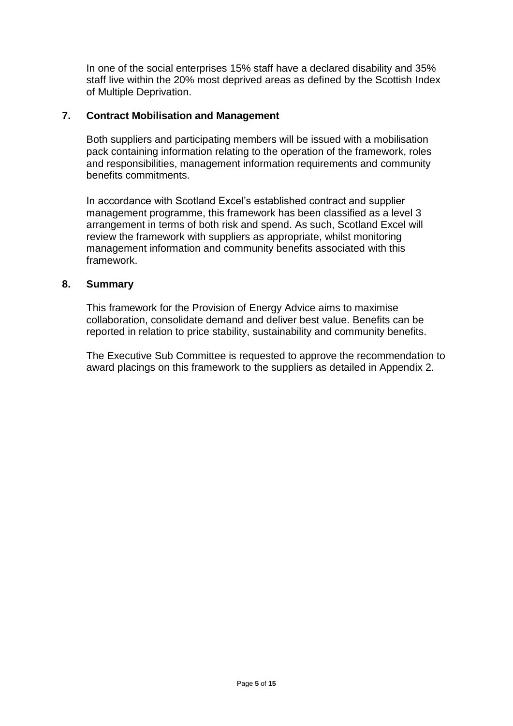In one of the social enterprises 15% staff have a declared disability and 35% staff live within the 20% most deprived areas as defined by the Scottish Index of Multiple Deprivation.

## **7. Contract Mobilisation and Management**

Both suppliers and participating members will be issued with a mobilisation pack containing information relating to the operation of the framework, roles and responsibilities, management information requirements and community benefits commitments.

In accordance with Scotland Excel's established contract and supplier management programme, this framework has been classified as a level 3 arrangement in terms of both risk and spend. As such, Scotland Excel will review the framework with suppliers as appropriate, whilst monitoring management information and community benefits associated with this framework.

## **8. Summary**

This framework for the Provision of Energy Advice aims to maximise collaboration, consolidate demand and deliver best value. Benefits can be reported in relation to price stability, sustainability and community benefits.

The Executive Sub Committee is requested to approve the recommendation to award placings on this framework to the suppliers as detailed in Appendix 2.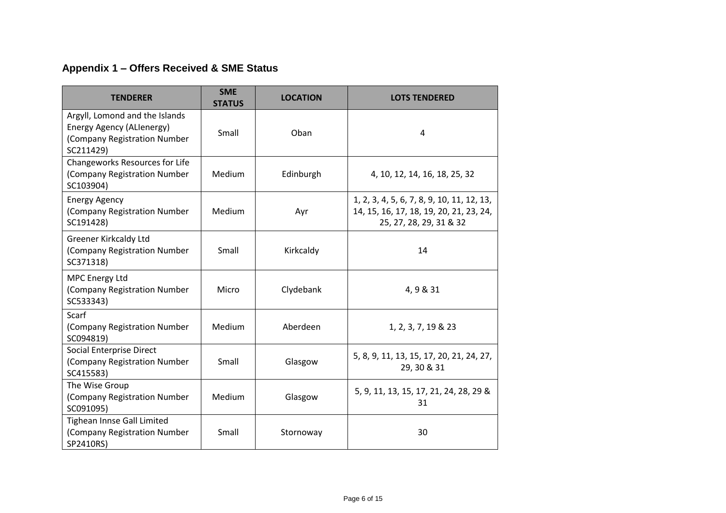## **Appendix 1 – Offers Received & SME Status**

| <b>TENDERER</b>                                                                                          | <b>SME</b><br><b>STATUS</b> | <b>LOCATION</b> | <b>LOTS TENDERED</b>                                                                                             |
|----------------------------------------------------------------------------------------------------------|-----------------------------|-----------------|------------------------------------------------------------------------------------------------------------------|
| Argyll, Lomond and the Islands<br>Energy Agency (ALIenergy)<br>(Company Registration Number<br>SC211429) | Small                       | Oban            | 4                                                                                                                |
| Changeworks Resources for Life<br>(Company Registration Number<br>SC103904)                              | Medium                      | Edinburgh       | 4, 10, 12, 14, 16, 18, 25, 32                                                                                    |
| <b>Energy Agency</b><br>(Company Registration Number<br>SC191428)                                        | <b>Medium</b>               | Ayr             | 1, 2, 3, 4, 5, 6, 7, 8, 9, 10, 11, 12, 13,<br>14, 15, 16, 17, 18, 19, 20, 21, 23, 24,<br>25, 27, 28, 29, 31 & 32 |
| <b>Greener Kirkcaldy Ltd</b><br>(Company Registration Number<br>SC371318)                                | Small                       | Kirkcaldy       | 14                                                                                                               |
| MPC Energy Ltd<br>(Company Registration Number<br>SC533343)                                              | Micro                       | Clydebank       | 4, 9 & 31                                                                                                        |
| Scarf<br>(Company Registration Number<br>SC094819)                                                       | <b>Medium</b>               | Aberdeen        | 1, 2, 3, 7, 19 & 23                                                                                              |
| <b>Social Enterprise Direct</b><br>(Company Registration Number<br>SC415583)                             | Small                       | Glasgow         | 5, 8, 9, 11, 13, 15, 17, 20, 21, 24, 27,<br>29, 30 & 31                                                          |
| The Wise Group<br>(Company Registration Number<br>SC091095)                                              | <b>Medium</b>               | Glasgow         | 5, 9, 11, 13, 15, 17, 21, 24, 28, 29 &<br>31                                                                     |
| Tighean Innse Gall Limited<br>(Company Registration Number<br>SP2410RS)                                  | Small                       | Stornoway       | 30                                                                                                               |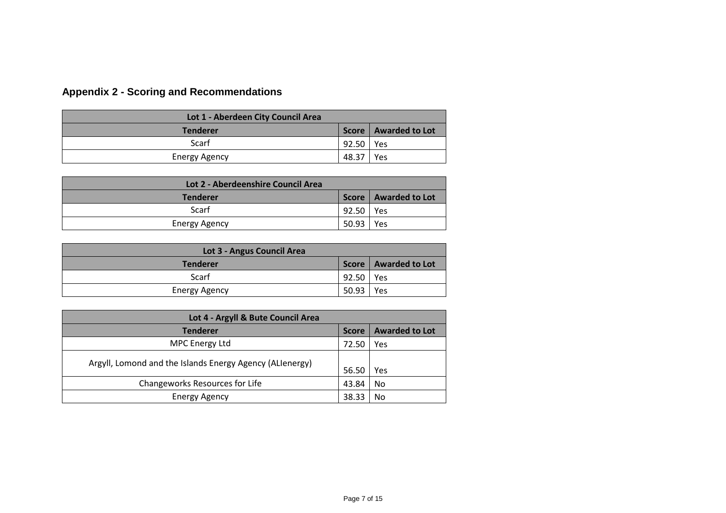# **Appendix 2 - Scoring and Recommendations**

| Lot 1 - Aberdeen City Council Area |         |                        |
|------------------------------------|---------|------------------------|
| <b>Tenderer</b>                    |         | Score   Awarded to Lot |
| Scarf                              | 92.50 l | Yes                    |
| <b>Energy Agency</b>               | 48.37   | Yes                    |

| Lot 2 - Aberdeenshire Council Area |             |                        |
|------------------------------------|-------------|------------------------|
| <b>Tenderer</b>                    |             | Score   Awarded to Lot |
| Scarf                              | 92.50   Yes |                        |
| <b>Energy Agency</b>               | 50.93       | Yes                    |

| Lot 3 - Angus Council Area |       |                        |
|----------------------------|-------|------------------------|
| <b>Tenderer</b>            |       | Score   Awarded to Lot |
| Scarf                      | 92.50 | Yes                    |
| <b>Energy Agency</b>       | 50.93 | Yes                    |

| Lot 4 - Argyll & Bute Council Area                       |              |                       |  |
|----------------------------------------------------------|--------------|-----------------------|--|
| <b>Tenderer</b>                                          | <b>Score</b> | <b>Awarded to Lot</b> |  |
| <b>MPC Energy Ltd</b>                                    | 72.50        | Yes                   |  |
| Argyll, Lomond and the Islands Energy Agency (ALIenergy) | 56.50        | Yes                   |  |
| Changeworks Resources for Life                           | 43.84        | No                    |  |
| Energy Agency                                            | 38.33        | No                    |  |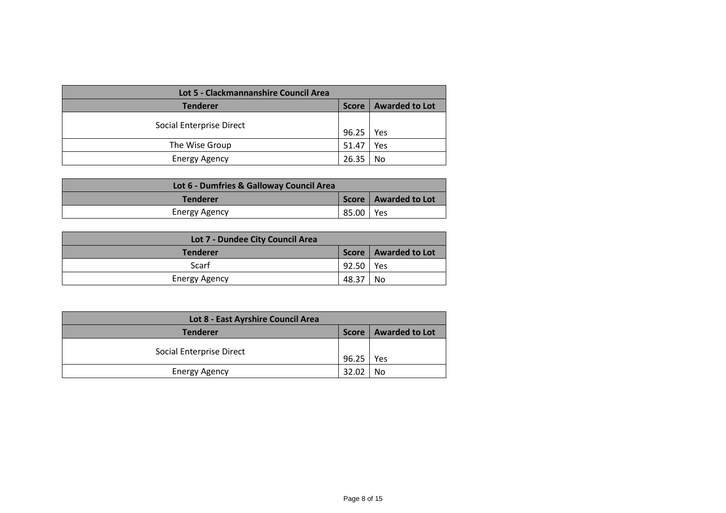| Lot 5 - Clackmannanshire Council Area |              |                       |
|---------------------------------------|--------------|-----------------------|
| <b>Tenderer</b>                       | <b>Score</b> | <b>Awarded to Lot</b> |
| Social Enterprise Direct              | 96.25        | Yes                   |
| The Wise Group                        | 51.47        | Yes                   |
| <b>Energy Agency</b>                  | 26.35        | No                    |

| Lot 6 - Dumfries & Galloway Council Area |             |                        |
|------------------------------------------|-------------|------------------------|
| <b>Tenderer</b>                          |             | Score   Awarded to Lot |
| Energy Agency                            | 85.00   Yes |                        |

| Lot 7 - Dundee City Council Area |             |                        |
|----------------------------------|-------------|------------------------|
| <b>Tenderer</b>                  |             | Score   Awarded to Lot |
| Scarf                            | 92.50   Yes |                        |
| <b>Energy Agency</b>             | 48.37       | No                     |

| Lot 8 - East Ayrshire Council Area |              |                       |
|------------------------------------|--------------|-----------------------|
| <b>Tenderer</b>                    | <b>Score</b> | <b>Awarded to Lot</b> |
| Social Enterprise Direct           | 96.25        | Yes                   |
| <b>Energy Agency</b>               | 32.02        | No                    |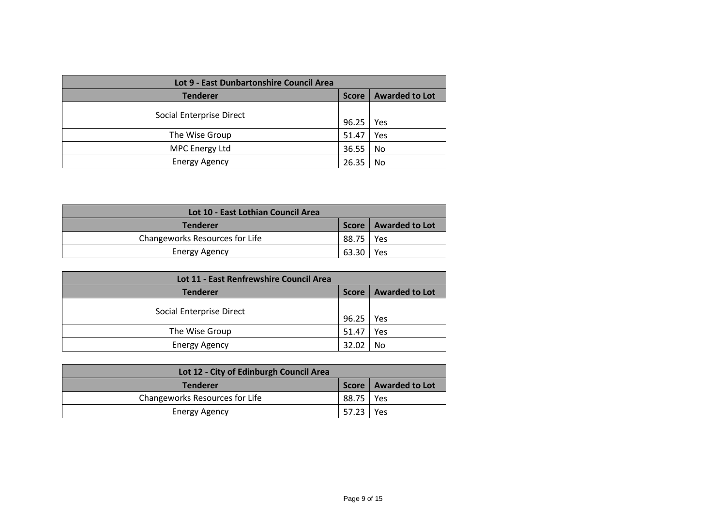| Lot 9 - East Dunbartonshire Council Area |              |                       |
|------------------------------------------|--------------|-----------------------|
| <b>Tenderer</b>                          | <b>Score</b> | <b>Awarded to Lot</b> |
| Social Enterprise Direct                 | 96.25        | Yes                   |
| The Wise Group                           | 51.47        | Yes                   |
| <b>MPC Energy Ltd</b>                    | 36.55        | No                    |
| <b>Energy Agency</b>                     | 26.35        | No                    |

| Lot 10 - East Lothian Council Area |             |                        |
|------------------------------------|-------------|------------------------|
| <b>Tenderer</b>                    |             | Score   Awarded to Lot |
| Changeworks Resources for Life     | 88.75   Yes |                        |
| <b>Energy Agency</b>               | 63.30   Yes |                        |

| Lot 11 - East Renfrewshire Council Area |              |                       |
|-----------------------------------------|--------------|-----------------------|
| <b>Tenderer</b>                         | <b>Score</b> | <b>Awarded to Lot</b> |
| Social Enterprise Direct                | 96.25        | Yes                   |
| The Wise Group                          | 51.47        | Yes                   |
| <b>Energy Agency</b>                    | 32.02        | No                    |

| Lot 12 - City of Edinburgh Council Area |             |                        |
|-----------------------------------------|-------------|------------------------|
| <b>Tenderer</b>                         |             | Score   Awarded to Lot |
| Changeworks Resources for Life          | 88.75   Yes |                        |
| Energy Agency                           | 57.23 1     | <b>Yes</b>             |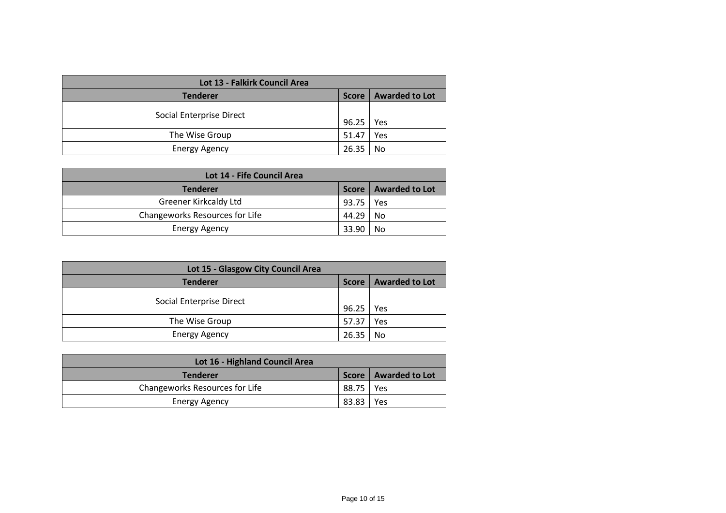| Lot 13 - Falkirk Council Area |              |                |
|-------------------------------|--------------|----------------|
| <b>Tenderer</b>               | <b>Score</b> | Awarded to Lot |
| Social Enterprise Direct      | 96.25        | Yes            |
| The Wise Group                | 51.47        | Yes            |
| <b>Energy Agency</b>          | 26.35        | No             |

| Lot 14 - Fife Council Area     |         |                        |
|--------------------------------|---------|------------------------|
| Tenderer                       |         | Score   Awarded to Lot |
| Greener Kirkcaldy Ltd          | 93.75   | Yes                    |
| Changeworks Resources for Life | 44.29 l | - No                   |
| <b>Energy Agency</b>           | 33.90   | No                     |

| Lot 15 - Glasgow City Council Area |              |                       |
|------------------------------------|--------------|-----------------------|
| <b>Tenderer</b>                    | <b>Score</b> | <b>Awarded to Lot</b> |
| Social Enterprise Direct           | 96.25        | Yes                   |
| The Wise Group                     | 57.37        | Yes                   |
| <b>Energy Agency</b>               | 26.35        | No                    |

| Lot 16 - Highland Council Area |             |                        |
|--------------------------------|-------------|------------------------|
| <b>Tenderer</b>                |             | Score   Awarded to Lot |
| Changeworks Resources for Life | 88.75   Yes |                        |
| <b>Energy Agency</b>           | 83.83       | Yes                    |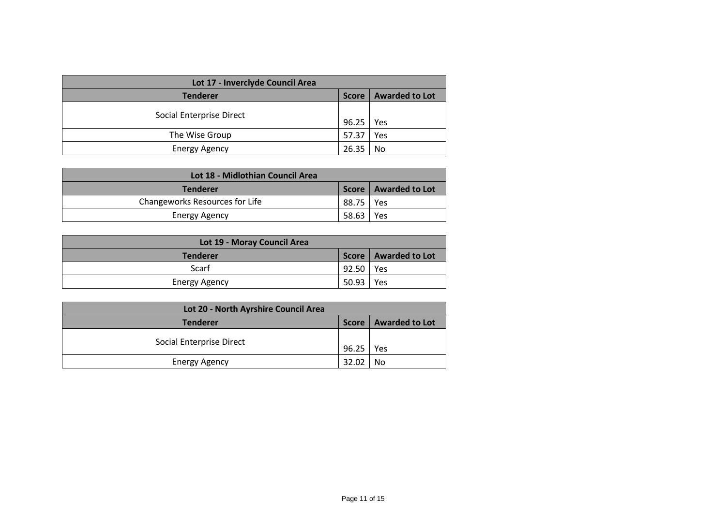| Lot 17 - Inverclyde Council Area |              |                       |
|----------------------------------|--------------|-----------------------|
| <b>Tenderer</b>                  | <b>Score</b> | <b>Awarded to Lot</b> |
| Social Enterprise Direct         | 96.25        | Yes                   |
| The Wise Group                   | 57.37        | Yes                   |
| <b>Energy Agency</b>             | 26.35        | No                    |

| Lot 18 - Midlothian Council Area |             |                        |
|----------------------------------|-------------|------------------------|
| <b>Tenderer</b>                  |             | Score   Awarded to Lot |
| Changeworks Resources for Life   | 88.75   Yes |                        |
| Energy Agency                    | 58.63       | Yes                    |

| Lot 19 - Moray Council Area |             |                        |
|-----------------------------|-------------|------------------------|
| <b>Tenderer</b>             |             | Score   Awarded to Lot |
| Scarf                       | 92.50   Yes |                        |
| <b>Energy Agency</b>        | 50.93       | Yes                    |

| Lot 20 - North Ayrshire Council Area |              |                       |
|--------------------------------------|--------------|-----------------------|
| Tenderer                             | <b>Score</b> | <b>Awarded to Lot</b> |
| Social Enterprise Direct             | 96.25        | Yes                   |
| <b>Energy Agency</b>                 | 32.02        | No                    |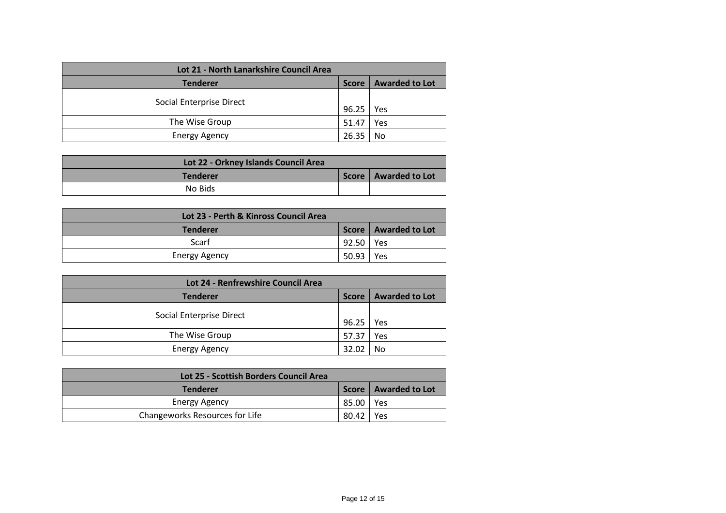| Lot 21 - North Lanarkshire Council Area |              |                       |
|-----------------------------------------|--------------|-----------------------|
| <b>Tenderer</b>                         | <b>Score</b> | <b>Awarded to Lot</b> |
| Social Enterprise Direct                | 96.25        | Yes                   |
| The Wise Group                          | 51.47        | Yes                   |
| <b>Energy Agency</b>                    | 26.35        | No                    |

| Lot 22 - Orkney Islands Council Area |                        |
|--------------------------------------|------------------------|
| <b>Tenderer</b>                      | Score   Awarded to Lot |
| No Bids                              |                        |

| Lot 23 - Perth & Kinross Council Area     |             |     |  |
|-------------------------------------------|-------------|-----|--|
| Score   Awarded to Lot<br><b>Tenderer</b> |             |     |  |
| Scarf                                     | 92.50   Yes |     |  |
| <b>Energy Agency</b>                      | 50.93       | Yes |  |

| Lot 24 - Renfrewshire Council Area |              |                       |  |  |
|------------------------------------|--------------|-----------------------|--|--|
| <b>Tenderer</b>                    | <b>Score</b> | <b>Awarded to Lot</b> |  |  |
| Social Enterprise Direct           | 96.25        | Yes                   |  |  |
| The Wise Group                     | 57.37        | Yes                   |  |  |
| <b>Energy Agency</b>               | 32.02        | No                    |  |  |

| Lot 25 - Scottish Borders Council Area |       |                        |  |
|----------------------------------------|-------|------------------------|--|
| <b>Tenderer</b>                        |       | Score   Awarded to Lot |  |
| Energy Agency                          | 85.00 | Yes                    |  |
| Changeworks Resources for Life         | 80.42 | Yes                    |  |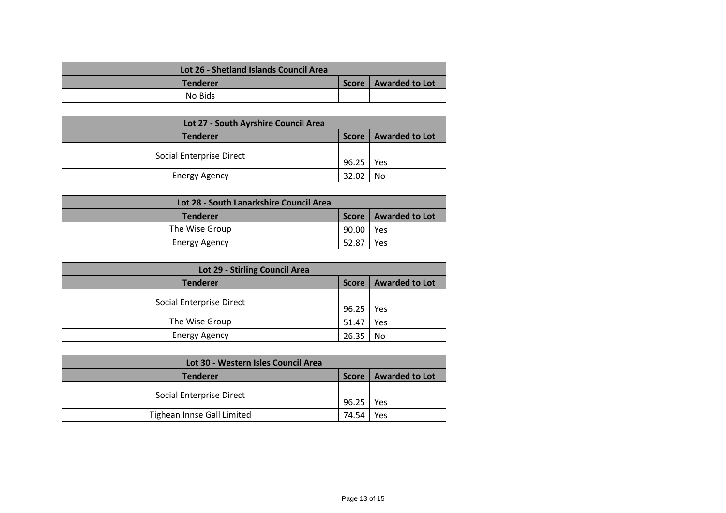| Lot 26 - Shetland Islands Council Area |                        |  |
|----------------------------------------|------------------------|--|
| <b>Tenderer</b>                        | Score   Awarded to Lot |  |
| No Bids                                |                        |  |

| Lot 27 - South Ayrshire Council Area |              |                       |  |  |
|--------------------------------------|--------------|-----------------------|--|--|
| <b>Tenderer</b>                      | <b>Score</b> | <b>Awarded to Lot</b> |  |  |
| Social Enterprise Direct             | 96.25        | Yes                   |  |  |
| <b>Energy Agency</b>                 | 32 O2        | No                    |  |  |

| Lot 28 - South Lanarkshire Council Area |           |                        |  |  |
|-----------------------------------------|-----------|------------------------|--|--|
| <b>Tenderer</b>                         |           | Score   Awarded to Lot |  |  |
| The Wise Group                          | 90.00 Yes |                        |  |  |
| <b>Energy Agency</b>                    | 52.87     | Yes                    |  |  |

| Lot 29 - Stirling Council Area |              |                       |  |  |
|--------------------------------|--------------|-----------------------|--|--|
| <b>Tenderer</b>                | <b>Score</b> | <b>Awarded to Lot</b> |  |  |
| Social Enterprise Direct       | 96.25        | Yes                   |  |  |
| The Wise Group                 | 51.47        | Yes                   |  |  |
| <b>Energy Agency</b>           | 26.35        | No                    |  |  |

| Lot 30 - Western Isles Council Area |              |                |  |  |
|-------------------------------------|--------------|----------------|--|--|
| <b>Tenderer</b>                     | <b>Score</b> | Awarded to Lot |  |  |
| Social Enterprise Direct            | 96.25        | l Yes          |  |  |
| Tighean Innse Gall Limited          | 74.54        | Yes            |  |  |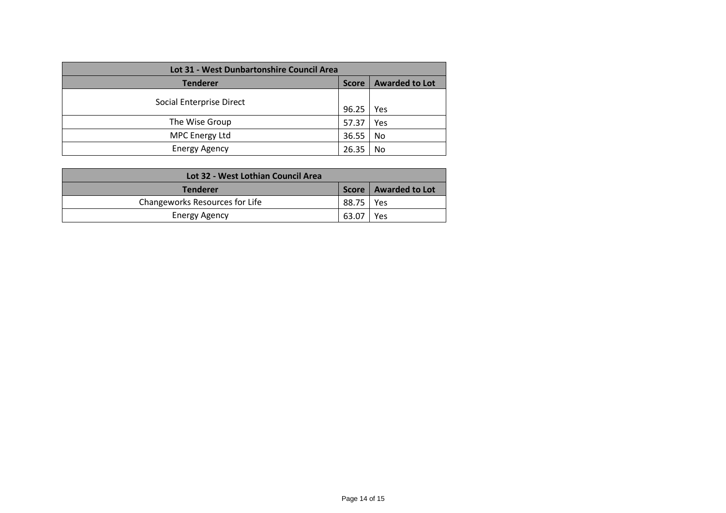| Lot 31 - West Dunbartonshire Council Area                |       |     |  |  |  |
|----------------------------------------------------------|-------|-----|--|--|--|
| <b>Awarded to Lot</b><br><b>Tenderer</b><br><b>Score</b> |       |     |  |  |  |
| Social Enterprise Direct                                 | 96.25 | Yes |  |  |  |
| The Wise Group                                           | 57.37 | Yes |  |  |  |
| <b>MPC Energy Ltd</b>                                    | 36.55 | No  |  |  |  |
| <b>Energy Agency</b>                                     | 26.35 | No  |  |  |  |

| Lot 32 - West Lothian Council Area |             |                        |  |  |
|------------------------------------|-------------|------------------------|--|--|
| <b>Tenderer</b>                    |             | Score   Awarded to Lot |  |  |
| Changeworks Resources for Life     | 88.75   Yes |                        |  |  |
| Energy Agency                      | 63.07       | Yes                    |  |  |